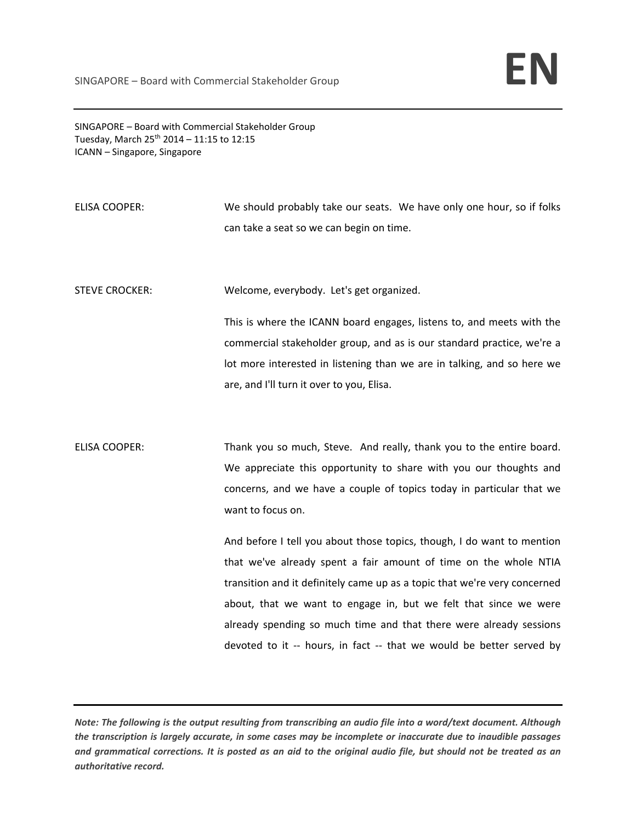SINGAPORE – Board with Commercial Stakeholder Group Tuesday, March  $25^{th}$  2014 – 11:15 to 12:15 ICANN – Singapore, Singapore

ELISA COOPER: We should probably take our seats. We have only one hour, so if folks can take a seat so we can begin on time.

STEVE CROCKER: Welcome, everybody. Let's get organized.

This is where the ICANN board engages, listens to, and meets with the commercial stakeholder group, and as is our standard practice, we're a lot more interested in listening than we are in talking, and so here we are, and I'll turn it over to you, Elisa.

ELISA COOPER: Thank you so much, Steve. And really, thank you to the entire board. We appreciate this opportunity to share with you our thoughts and concerns, and we have a couple of topics today in particular that we want to focus on.

> And before I tell you about those topics, though, I do want to mention that we've already spent a fair amount of time on the whole NTIA transition and it definitely came up as a topic that we're very concerned about, that we want to engage in, but we felt that since we were already spending so much time and that there were already sessions devoted to it -- hours, in fact -- that we would be better served by

Note: The following is the output resulting from transcribing an audio file into a word/text document. Although the transcription is largely accurate, in some cases may be incomplete or inaccurate due to inaudible passages and grammatical corrections. It is posted as an aid to the original audio file, but should not be treated as an *authoritative record.*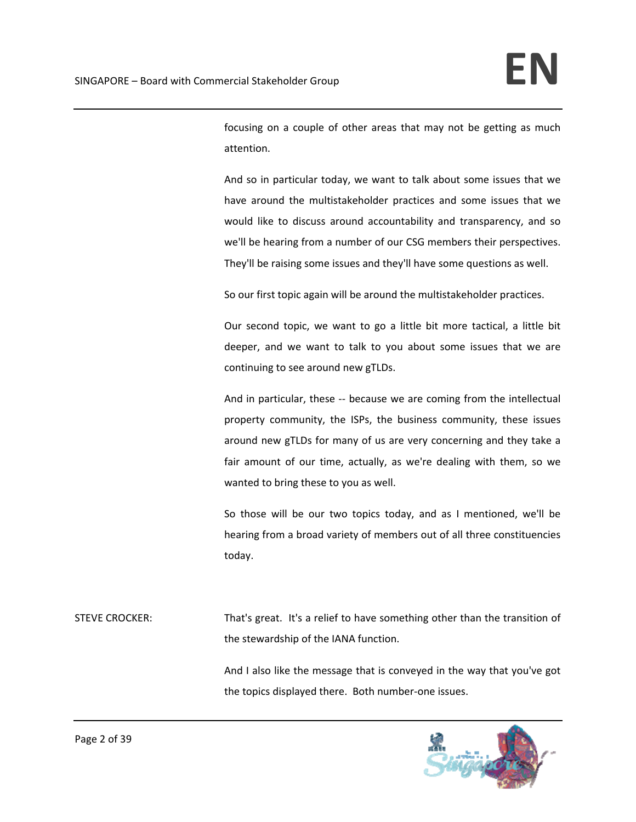focusing on a couple of other areas that may not be getting as much attention.

And so in particular today, we want to talk about some issues that we have around the multistakeholder practices and some issues that we would like to discuss around accountability and transparency, and so we'll be hearing from a number of our CSG members their perspectives. They'll be raising some issues and they'll have some questions as well.

So our first topic again will be around the multistakeholder practices.

Our second topic, we want to go a little bit more tactical, a little bit deeper, and we want to talk to you about some issues that we are continuing to see around new gTLDs.

And in particular, these -- because we are coming from the intellectual property community, the ISPs, the business community, these issues around new gTLDs for many of us are very concerning and they take a fair amount of our time, actually, as we're dealing with them, so we wanted to bring these to you as well.

So those will be our two topics today, and as I mentioned, we'll be hearing from a broad variety of members out of all three constituencies today.

STEVE CROCKER: That's great. It's a relief to have something other than the transition of the stewardship of the IANA function.

> And I also like the message that is conveyed in the way that you've got the topics displayed there. Both number‐one issues.

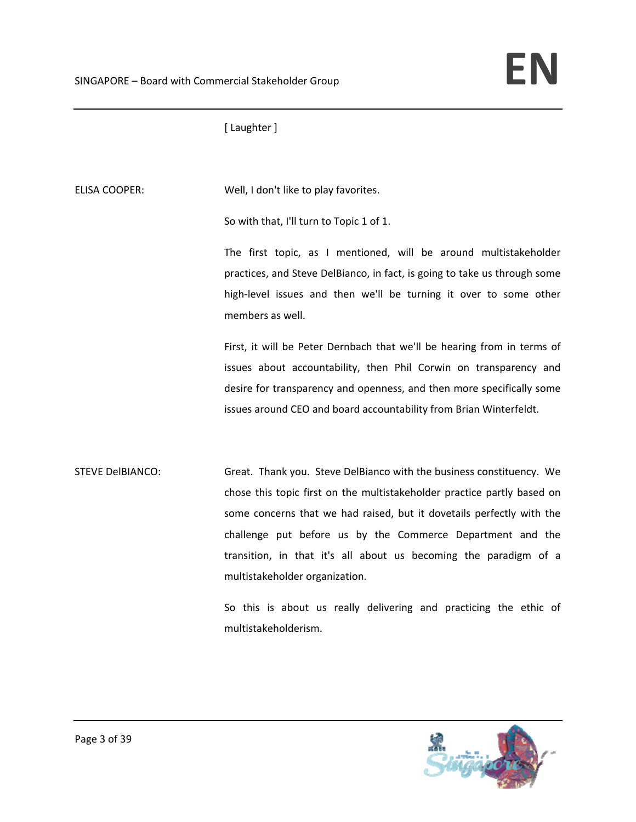[ Laughter ]

ELISA COOPER: Well, I don't like to play favorites.

So with that, I'll turn to Topic 1 of 1.

The first topic, as I mentioned, will be around multistakeholder practices, and Steve DelBianco, in fact, is going to take us through some high-level issues and then we'll be turning it over to some other members as well.

First, it will be Peter Dernbach that we'll be hearing from in terms of issues about accountability, then Phil Corwin on transparency and desire for transparency and openness, and then more specifically some issues around CEO and board accountability from Brian Winterfeldt.

STEVE DelBIANCO: Great. Thank you. Steve DelBianco with the business constituency. We chose this topic first on the multistakeholder practice partly based on some concerns that we had raised, but it dovetails perfectly with the challenge put before us by the Commerce Department and the transition, in that it's all about us becoming the paradigm of a multistakeholder organization.

> So this is about us really delivering and practicing the ethic of multistakeholderism.

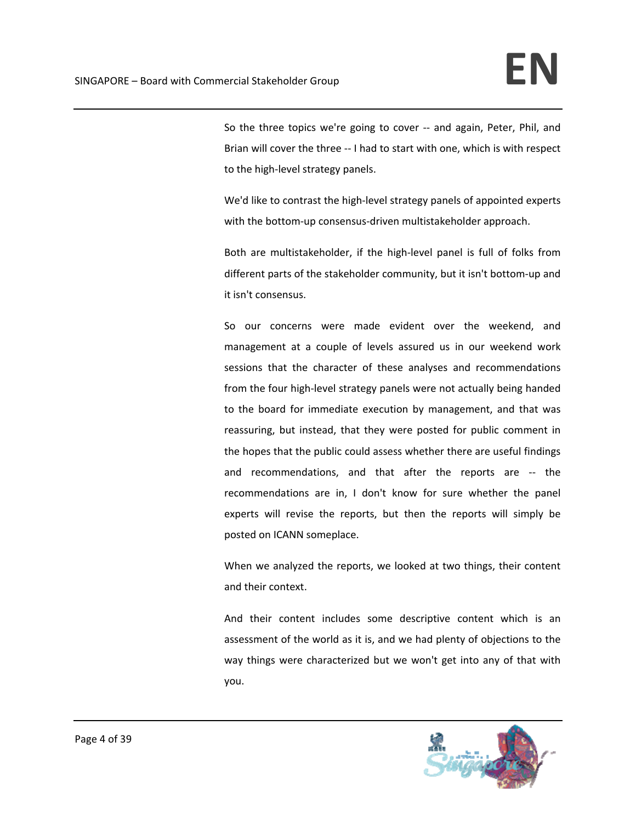So the three topics we're going to cover ‐‐ and again, Peter, Phil, and Brian will cover the three ‐‐ I had to start with one, which is with respect to the high‐level strategy panels.

We'd like to contrast the high-level strategy panels of appointed experts with the bottom-up consensus-driven multistakeholder approach.

Both are multistakeholder, if the high‐level panel is full of folks from different parts of the stakeholder community, but it isn't bottom‐up and it isn't consensus.

So our concerns were made evident over the weekend, and management at a couple of levels assured us in our weekend work sessions that the character of these analyses and recommendations from the four high‐level strategy panels were not actually being handed to the board for immediate execution by management, and that was reassuring, but instead, that they were posted for public comment in the hopes that the public could assess whether there are useful findings and recommendations, and that after the reports are ‐‐ the recommendations are in, I don't know for sure whether the panel experts will revise the reports, but then the reports will simply be posted on ICANN someplace.

When we analyzed the reports, we looked at two things, their content and their context.

And their content includes some descriptive content which is an assessment of the world as it is, and we had plenty of objections to the way things were characterized but we won't get into any of that with you.

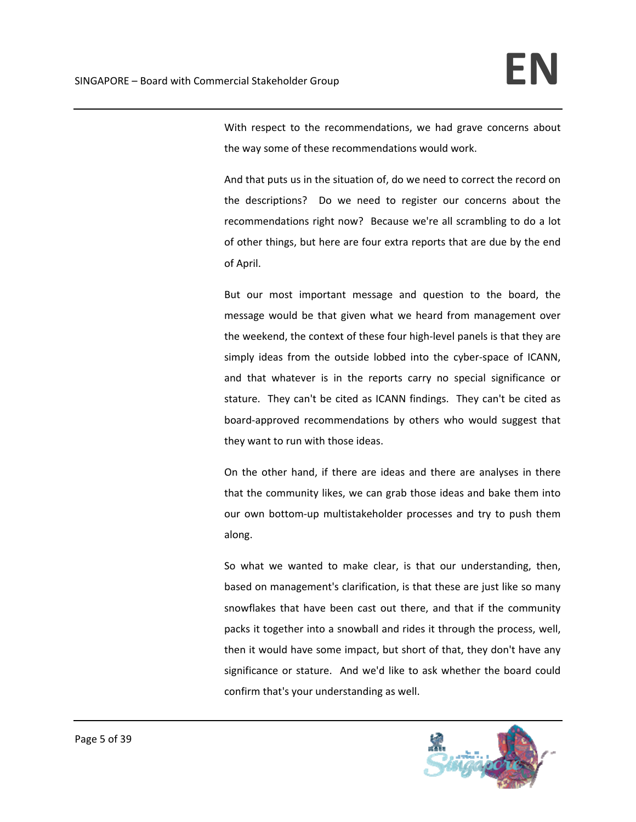With respect to the recommendations, we had grave concerns about the way some of these recommendations would work.

And that puts us in the situation of, do we need to correct the record on the descriptions? Do we need to register our concerns about the recommendations right now? Because we're all scrambling to do a lot of other things, but here are four extra reports that are due by the end of April.

But our most important message and question to the board, the message would be that given what we heard from management over the weekend, the context of these four high‐level panels is that they are simply ideas from the outside lobbed into the cyber-space of ICANN, and that whatever is in the reports carry no special significance or stature. They can't be cited as ICANN findings. They can't be cited as board‐approved recommendations by others who would suggest that they want to run with those ideas.

On the other hand, if there are ideas and there are analyses in there that the community likes, we can grab those ideas and bake them into our own bottom-up multistakeholder processes and try to push them along.

So what we wanted to make clear, is that our understanding, then, based on management's clarification, is that these are just like so many snowflakes that have been cast out there, and that if the community packs it together into a snowball and rides it through the process, well, then it would have some impact, but short of that, they don't have any significance or stature. And we'd like to ask whether the board could confirm that's your understanding as well.

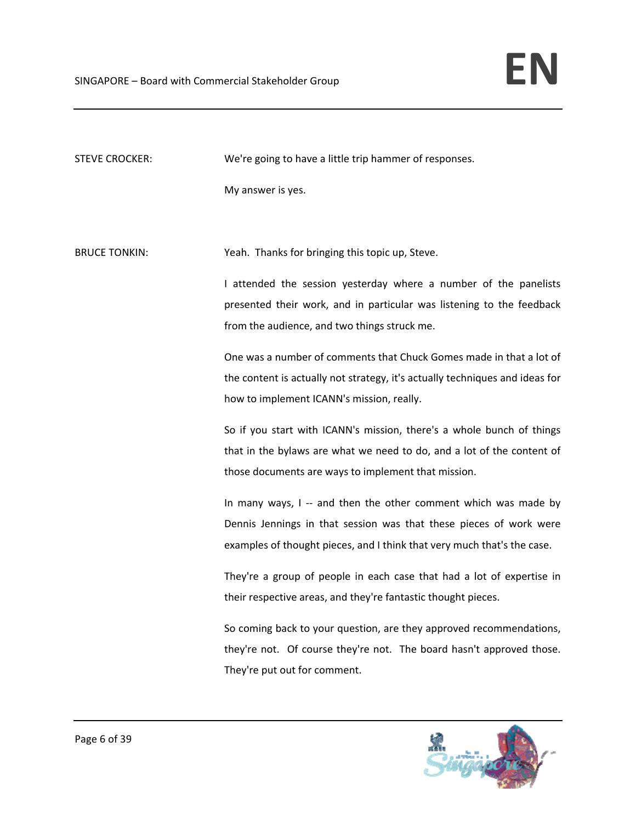| <b>STEVE CROCKER:</b> | We're going to have a little trip hammer of responses.                       |
|-----------------------|------------------------------------------------------------------------------|
|                       | My answer is yes.                                                            |
|                       |                                                                              |
| <b>BRUCE TONKIN:</b>  | Yeah. Thanks for bringing this topic up, Steve.                              |
|                       | I attended the session yesterday where a number of the panelists             |
|                       | presented their work, and in particular was listening to the feedback        |
|                       | from the audience, and two things struck me.                                 |
|                       | One was a number of comments that Chuck Gomes made in that a lot of          |
|                       | the content is actually not strategy, it's actually techniques and ideas for |
|                       | how to implement ICANN's mission, really.                                    |
|                       | So if you start with ICANN's mission, there's a whole bunch of things        |
|                       | that in the bylaws are what we need to do, and a lot of the content of       |
|                       | those documents are ways to implement that mission.                          |
|                       | In many ways, I -- and then the other comment which was made by              |
|                       | Dennis Jennings in that session was that these pieces of work were           |
|                       | examples of thought pieces, and I think that very much that's the case.      |
|                       | They're a group of people in each case that had a lot of expertise in        |
|                       | their respective areas, and they're fantastic thought pieces.                |
|                       | So coming back to your question, are they approved recommendations,          |
|                       | they're not. Of course they're not. The board hasn't approved those.         |
|                       | They're put out for comment.                                                 |

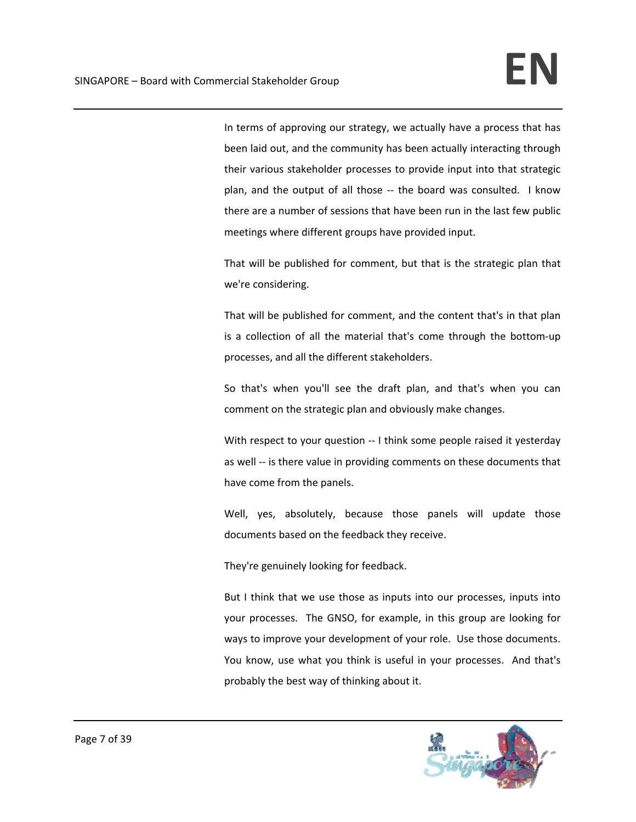In terms of approving our strategy, we actually have a process that has been laid out, and the community has been actually interacting through their various stakeholder processes to provide input into that strategic plan, and the output of all those ‐‐ the board was consulted. I know there are a number of sessions that have been run in the last few public meetings where different groups have provided input.

That will be published for comment, but that is the strategic plan that we're considering.

That will be published for comment, and the content that's in that plan is a collection of all the material that's come through the bottom‐up processes, and all the different stakeholders.

So that's when you'll see the draft plan, and that's when you can comment on the strategic plan and obviously make changes.

With respect to your question -- I think some people raised it yesterday as well -- is there value in providing comments on these documents that have come from the panels.

Well, yes, absolutely, because those panels will update those documents based on the feedback they receive.

They're genuinely looking for feedback.

But I think that we use those as inputs into our processes, inputs into your processes. The GNSO, for example, in this group are looking for ways to improve your development of your role. Use those documents. You know, use what you think is useful in your processes. And that's probably the best way of thinking about it.

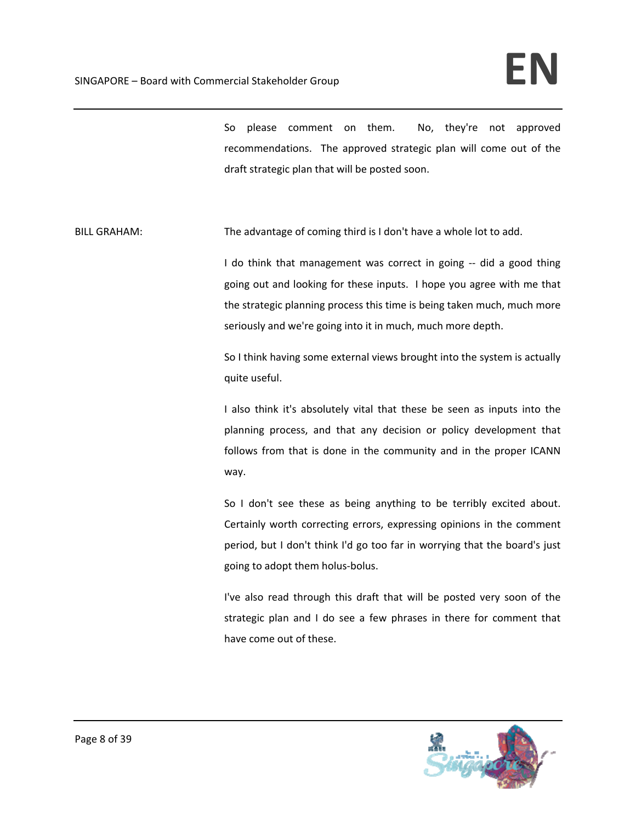So please comment on them. No, they're not approved recommendations. The approved strategic plan will come out of the draft strategic plan that will be posted soon.

BILL GRAHAM: The advantage of coming third is I don't have a whole lot to add.

I do think that management was correct in going -- did a good thing going out and looking for these inputs. I hope you agree with me that the strategic planning process this time is being taken much, much more seriously and we're going into it in much, much more depth.

So I think having some external views brought into the system is actually quite useful.

I also think it's absolutely vital that these be seen as inputs into the planning process, and that any decision or policy development that follows from that is done in the community and in the proper ICANN way.

So I don't see these as being anything to be terribly excited about. Certainly worth correcting errors, expressing opinions in the comment period, but I don't think I'd go too far in worrying that the board's just going to adopt them holus‐bolus.

I've also read through this draft that will be posted very soon of the strategic plan and I do see a few phrases in there for comment that have come out of these.

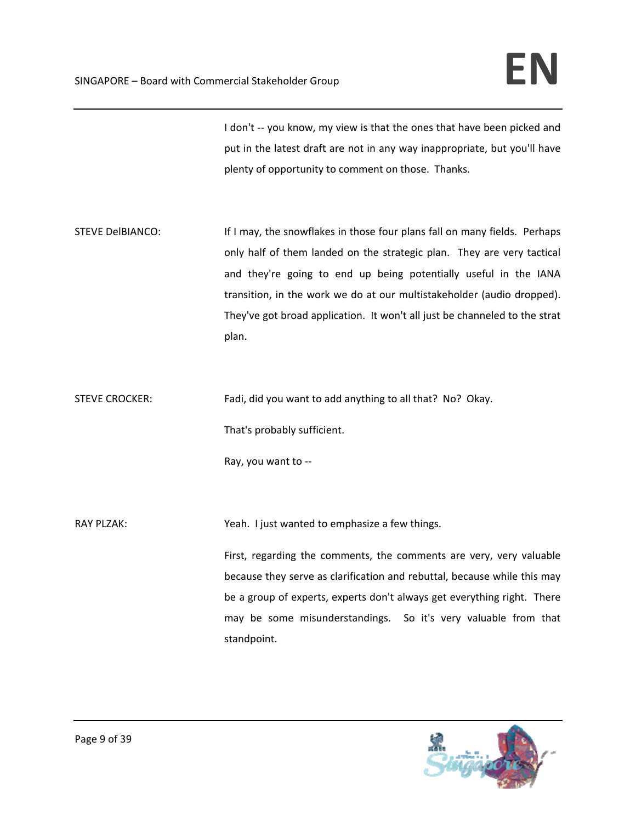I don't -- you know, my view is that the ones that have been picked and put in the latest draft are not in any way inappropriate, but you'll have plenty of opportunity to comment on those. Thanks.

STEVE DelBIANCO: If I may, the snowflakes in those four plans fall on many fields. Perhaps only half of them landed on the strategic plan. They are very tactical and they're going to end up being potentially useful in the IANA transition, in the work we do at our multistakeholder (audio dropped). They've got broad application. It won't all just be channeled to the strat plan.

STEVE CROCKER: Fadi, did you want to add anything to all that? No? Okay.

That's probably sufficient.

Ray, you want to ‐‐

RAY PLZAK: *NAY PLZAK: NAY PLZAK: Weah. I just wanted to emphasize a few things.* 

First, regarding the comments, the comments are very, very valuable because they serve as clarification and rebuttal, because while this may be a group of experts, experts don't always get everything right. There may be some misunderstandings. So it's very valuable from that standpoint.

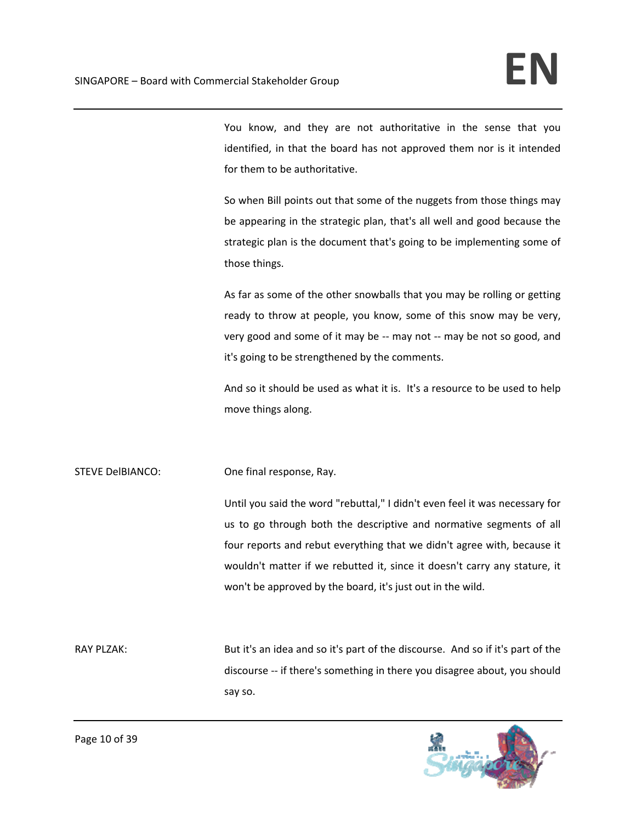You know, and they are not authoritative in the sense that you identified, in that the board has not approved them nor is it intended for them to be authoritative.

So when Bill points out that some of the nuggets from those things may be appearing in the strategic plan, that's all well and good because the strategic plan is the document that's going to be implementing some of those things.

As far as some of the other snowballs that you may be rolling or getting ready to throw at people, you know, some of this snow may be very, very good and some of it may be ‐‐ may not ‐‐ may be not so good, and it's going to be strengthened by the comments.

And so it should be used as what it is. It's a resource to be used to help move things along.

STEVE DelBIANCO: One final response, Ray.

Until you said the word "rebuttal," I didn't even feel it was necessary for us to go through both the descriptive and normative segments of all four reports and rebut everything that we didn't agree with, because it wouldn't matter if we rebutted it, since it doesn't carry any stature, it won't be approved by the board, it's just out in the wild.

RAY PLZAK: But it's an idea and so it's part of the discourse. And so if it's part of the discourse ‐‐ if there's something in there you disagree about, you should say so.

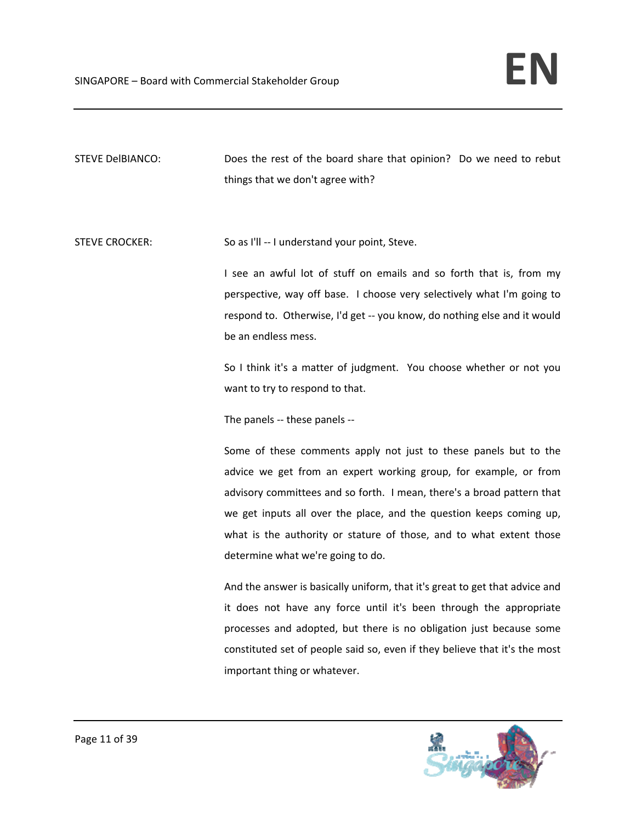STEVE DelBIANCO: Does the rest of the board share that opinion? Do we need to rebut things that we don't agree with?

STEVE CROCKER: So as I'll -- I understand your point, Steve.

I see an awful lot of stuff on emails and so forth that is, from my perspective, way off base. I choose very selectively what I'm going to respond to. Otherwise, I'd get ‐‐ you know, do nothing else and it would be an endless mess.

So I think it's a matter of judgment. You choose whether or not you want to try to respond to that.

The panels ‐‐ these panels ‐‐

Some of these comments apply not just to these panels but to the advice we get from an expert working group, for example, or from advisory committees and so forth. I mean, there's a broad pattern that we get inputs all over the place, and the question keeps coming up, what is the authority or stature of those, and to what extent those determine what we're going to do.

And the answer is basically uniform, that it's great to get that advice and it does not have any force until it's been through the appropriate processes and adopted, but there is no obligation just because some constituted set of people said so, even if they believe that it's the most important thing or whatever.

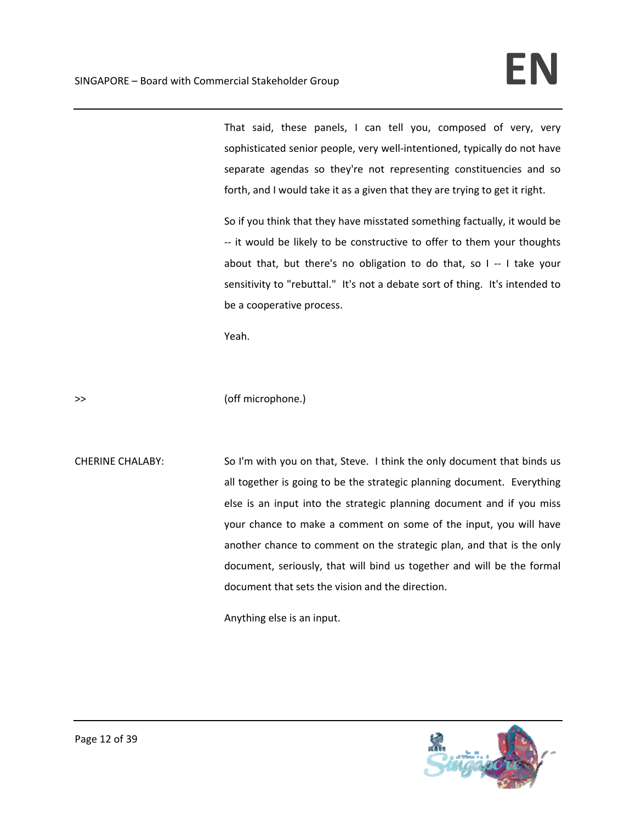That said, these panels, I can tell you, composed of very, very sophisticated senior people, very well-intentioned, typically do not have separate agendas so they're not representing constituencies and so forth, and I would take it as a given that they are trying to get it right.

So if you think that they have misstated something factually, it would be ‐‐ it would be likely to be constructive to offer to them your thoughts about that, but there's no obligation to do that, so I -- I take your sensitivity to "rebuttal." It's not a debate sort of thing. It's intended to be a cooperative process.

Yeah.

>> (off microphone.)

CHERINE CHALABY: So I'm with you on that, Steve. I think the only document that binds us all together is going to be the strategic planning document. Everything else is an input into the strategic planning document and if you miss your chance to make a comment on some of the input, you will have another chance to comment on the strategic plan, and that is the only document, seriously, that will bind us together and will be the formal document that sets the vision and the direction.

Anything else is an input.

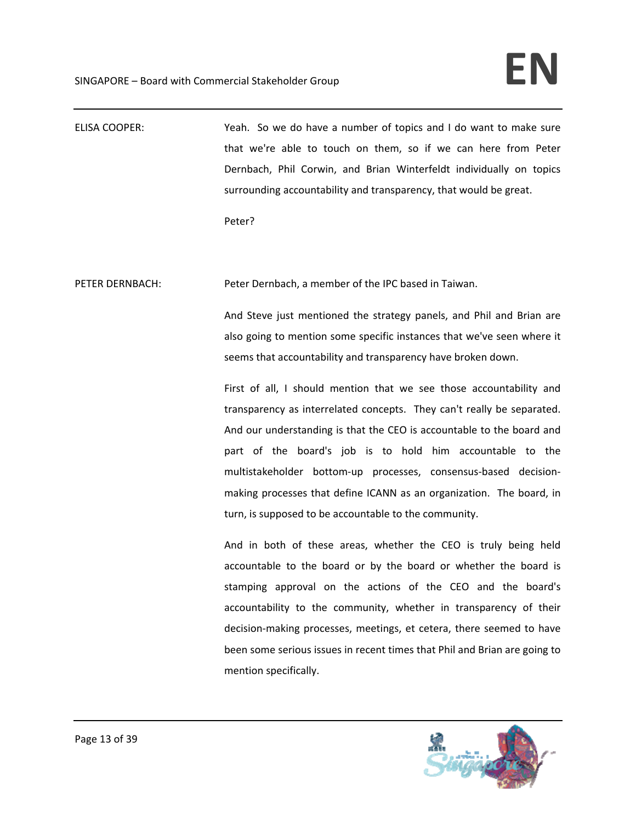ELISA COOPER: Yeah. So we do have a number of topics and I do want to make sure that we're able to touch on them, so if we can here from Peter Dernbach, Phil Corwin, and Brian Winterfeldt individually on topics surrounding accountability and transparency, that would be great.

Peter?

PETER DERNBACH: Peter Dernbach, a member of the IPC based in Taiwan.

And Steve just mentioned the strategy panels, and Phil and Brian are also going to mention some specific instances that we've seen where it seems that accountability and transparency have broken down.

First of all, I should mention that we see those accountability and transparency as interrelated concepts. They can't really be separated. And our understanding is that the CEO is accountable to the board and part of the board's job is to hold him accountable to the multistakeholder bottom‐up processes, consensus‐based decision‐ making processes that define ICANN as an organization. The board, in turn, is supposed to be accountable to the community.

And in both of these areas, whether the CEO is truly being held accountable to the board or by the board or whether the board is stamping approval on the actions of the CEO and the board's accountability to the community, whether in transparency of their decision‐making processes, meetings, et cetera, there seemed to have been some serious issues in recent times that Phil and Brian are going to mention specifically.

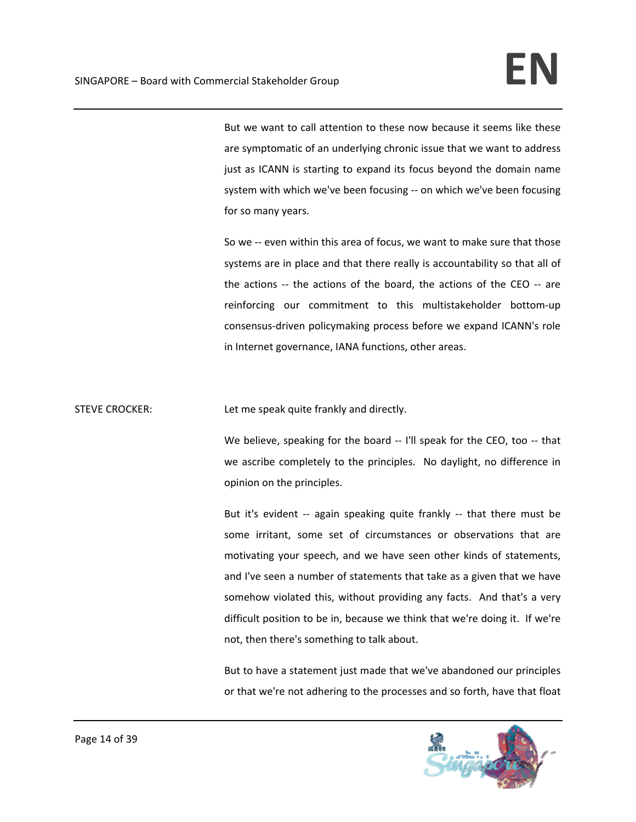But we want to call attention to these now because it seems like these are symptomatic of an underlying chronic issue that we want to address just as ICANN is starting to expand its focus beyond the domain name system with which we've been focusing ‐‐ on which we've been focusing for so many years.

So we -- even within this area of focus, we want to make sure that those systems are in place and that there really is accountability so that all of the actions -- the actions of the board, the actions of the CEO -- are reinforcing our commitment to this multistakeholder bottom‐up consensus‐driven policymaking process before we expand ICANN's role in Internet governance, IANA functions, other areas.

STEVE CROCKER: Let me speak quite frankly and directly.

We believe, speaking for the board -- I'll speak for the CEO, too -- that we ascribe completely to the principles. No daylight, no difference in opinion on the principles.

But it's evident -- again speaking quite frankly -- that there must be some irritant, some set of circumstances or observations that are motivating your speech, and we have seen other kinds of statements, and I've seen a number of statements that take as a given that we have somehow violated this, without providing any facts. And that's a very difficult position to be in, because we think that we're doing it. If we're not, then there's something to talk about.

But to have a statement just made that we've abandoned our principles or that we're not adhering to the processes and so forth, have that float

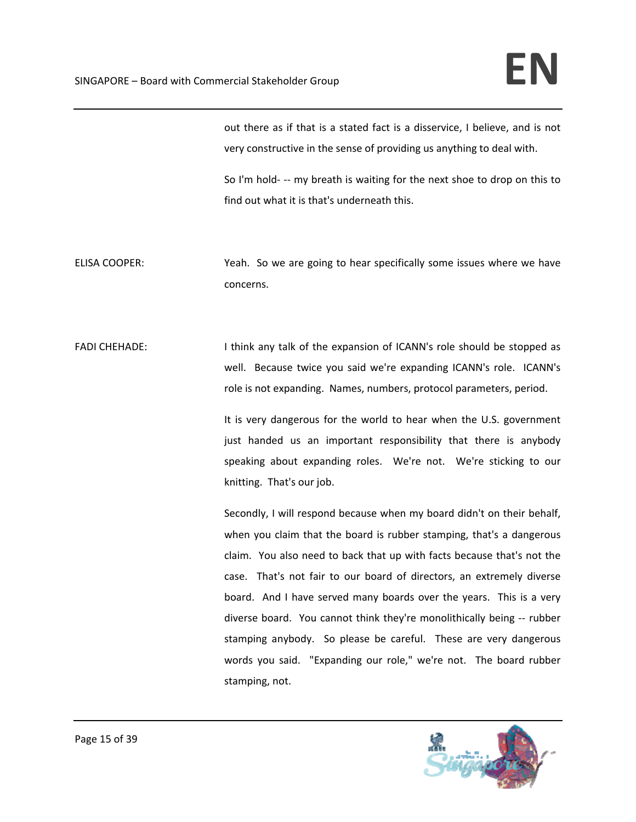out there as if that is a stated fact is a disservice, I believe, and is not very constructive in the sense of providing us anything to deal with.

So I'm hold- -- my breath is waiting for the next shoe to drop on this to find out what it is that's underneath this.

ELISA COOPER: Yeah. So we are going to hear specifically some issues where we have concerns.

FADI CHEHADE: Interest or think any talk of the expansion of ICANN's role should be stopped as well. Because twice you said we're expanding ICANN's role. ICANN's role is not expanding. Names, numbers, protocol parameters, period.

> It is very dangerous for the world to hear when the U.S. government just handed us an important responsibility that there is anybody speaking about expanding roles. We're not. We're sticking to our knitting. That's our job.

> Secondly, I will respond because when my board didn't on their behalf, when you claim that the board is rubber stamping, that's a dangerous claim. You also need to back that up with facts because that's not the case. That's not fair to our board of directors, an extremely diverse board. And I have served many boards over the years. This is a very diverse board. You cannot think they're monolithically being ‐‐ rubber stamping anybody. So please be careful. These are very dangerous words you said. "Expanding our role," we're not. The board rubber stamping, not.

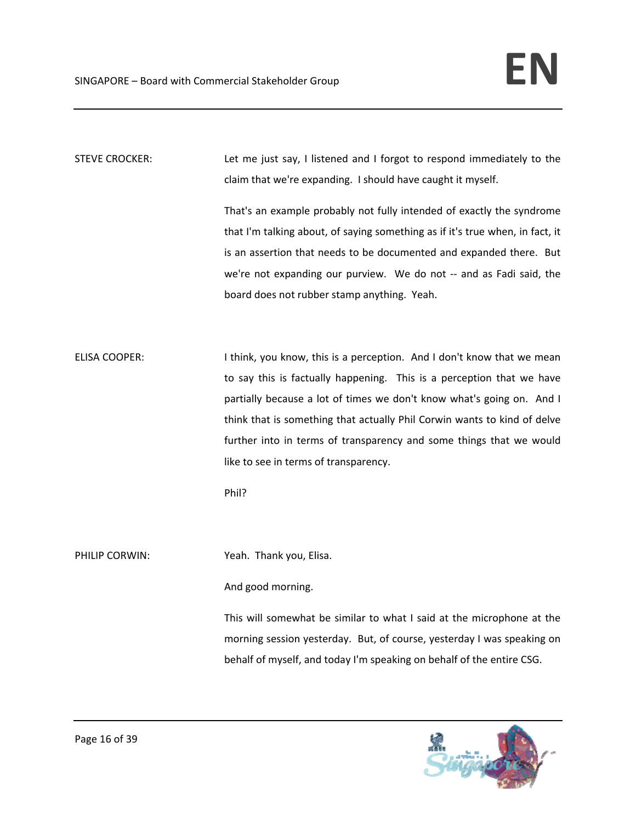STEVE CROCKER: 
Let me just say, I listened and I forgot to respond immediately to the claim that we're expanding. I should have caught it myself.

> That's an example probably not fully intended of exactly the syndrome that I'm talking about, of saying something as if it's true when, in fact, it is an assertion that needs to be documented and expanded there. But we're not expanding our purview. We do not -- and as Fadi said, the board does not rubber stamp anything. Yeah.

ELISA COOPER: I think, you know, this is a perception. And I don't know that we mean to say this is factually happening. This is a perception that we have partially because a lot of times we don't know what's going on. And I think that is something that actually Phil Corwin wants to kind of delve further into in terms of transparency and some things that we would like to see in terms of transparency.

Phil?

PHILIP CORWIN: Yeah. Thank you, Elisa.

And good morning.

This will somewhat be similar to what I said at the microphone at the morning session yesterday. But, of course, yesterday I was speaking on behalf of myself, and today I'm speaking on behalf of the entire CSG.

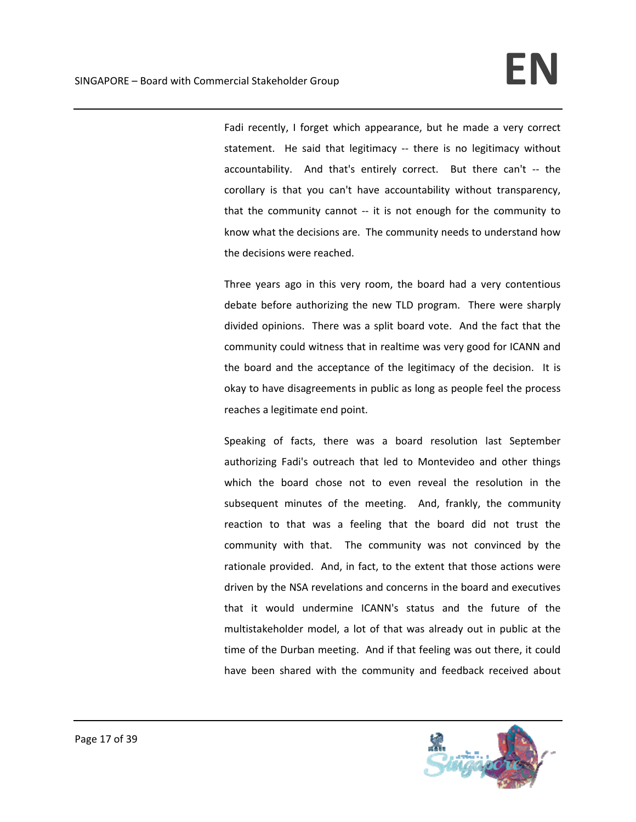Fadi recently, I forget which appearance, but he made a very correct statement. He said that legitimacy -- there is no legitimacy without accountability. And that's entirely correct. But there can't -- the corollary is that you can't have accountability without transparency, that the community cannot -- it is not enough for the community to know what the decisions are. The community needs to understand how the decisions were reached.

Three years ago in this very room, the board had a very contentious debate before authorizing the new TLD program. There were sharply divided opinions. There was a split board vote. And the fact that the community could witness that in realtime was very good for ICANN and the board and the acceptance of the legitimacy of the decision. It is okay to have disagreements in public as long as people feel the process reaches a legitimate end point.

Speaking of facts, there was a board resolution last September authorizing Fadi's outreach that led to Montevideo and other things which the board chose not to even reveal the resolution in the subsequent minutes of the meeting. And, frankly, the community reaction to that was a feeling that the board did not trust the community with that. The community was not convinced by the rationale provided. And, in fact, to the extent that those actions were driven by the NSA revelations and concerns in the board and executives that it would undermine ICANN's status and the future of the multistakeholder model, a lot of that was already out in public at the time of the Durban meeting. And if that feeling was out there, it could have been shared with the community and feedback received about

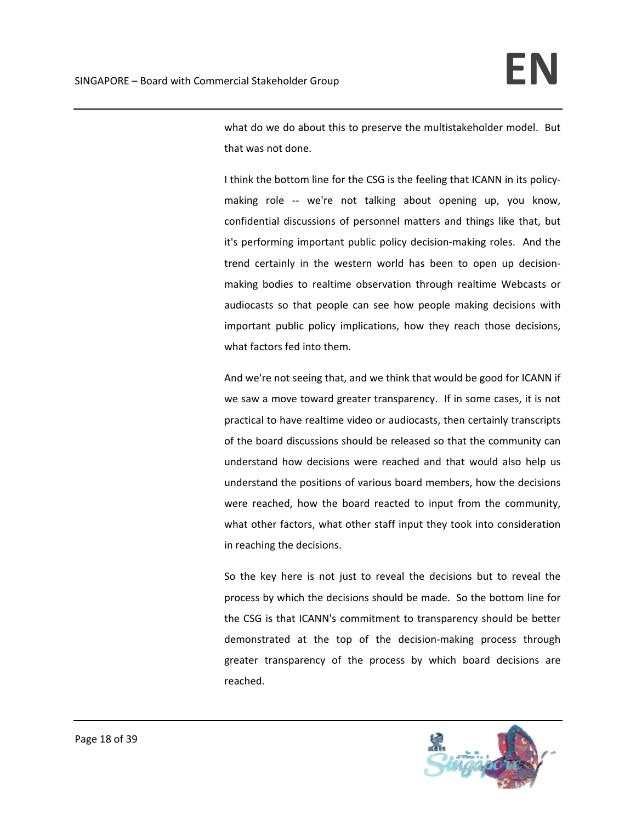what do we do about this to preserve the multistakeholder model. But that was not done.

I think the bottom line for the CSG is the feeling that ICANN in its policy‐ making role -- we're not talking about opening up, you know, confidential discussions of personnel matters and things like that, but it's performing important public policy decision‐making roles. And the trend certainly in the western world has been to open up decision‐ making bodies to realtime observation through realtime Webcasts or audiocasts so that people can see how people making decisions with important public policy implications, how they reach those decisions, what factors fed into them.

And we're not seeing that, and we think that would be good for ICANN if we saw a move toward greater transparency. If in some cases, it is not practical to have realtime video or audiocasts, then certainly transcripts of the board discussions should be released so that the community can understand how decisions were reached and that would also help us understand the positions of various board members, how the decisions were reached, how the board reacted to input from the community, what other factors, what other staff input they took into consideration in reaching the decisions.

So the key here is not just to reveal the decisions but to reveal the process by which the decisions should be made. So the bottom line for the CSG is that ICANN's commitment to transparency should be better demonstrated at the top of the decision‐making process through greater transparency of the process by which board decisions are reached.

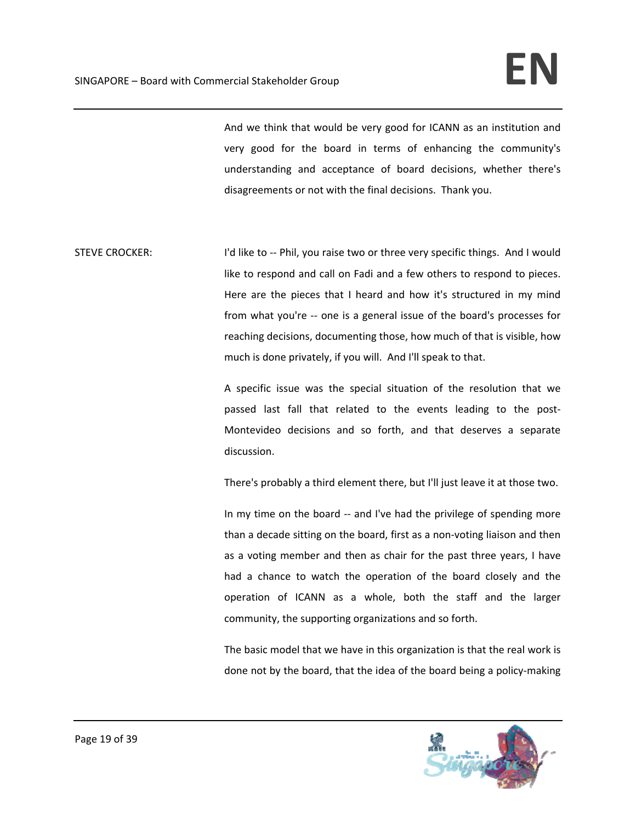And we think that would be very good for ICANN as an institution and very good for the board in terms of enhancing the community's understanding and acceptance of board decisions, whether there's disagreements or not with the final decisions. Thank you.

STEVE CROCKER: I I'd like to -- Phil, you raise two or three very specific things. And I would like to respond and call on Fadi and a few others to respond to pieces. Here are the pieces that I heard and how it's structured in my mind from what you're -- one is a general issue of the board's processes for reaching decisions, documenting those, how much of that is visible, how much is done privately, if you will. And I'll speak to that.

> A specific issue was the special situation of the resolution that we passed last fall that related to the events leading to the post‐ Montevideo decisions and so forth, and that deserves a separate discussion.

> There's probably a third element there, but I'll just leave it at those two.

In my time on the board ‐‐ and I've had the privilege of spending more than a decade sitting on the board, first as a non‐voting liaison and then as a voting member and then as chair for the past three years, I have had a chance to watch the operation of the board closely and the operation of ICANN as a whole, both the staff and the larger community, the supporting organizations and so forth.

The basic model that we have in this organization is that the real work is done not by the board, that the idea of the board being a policy‐making

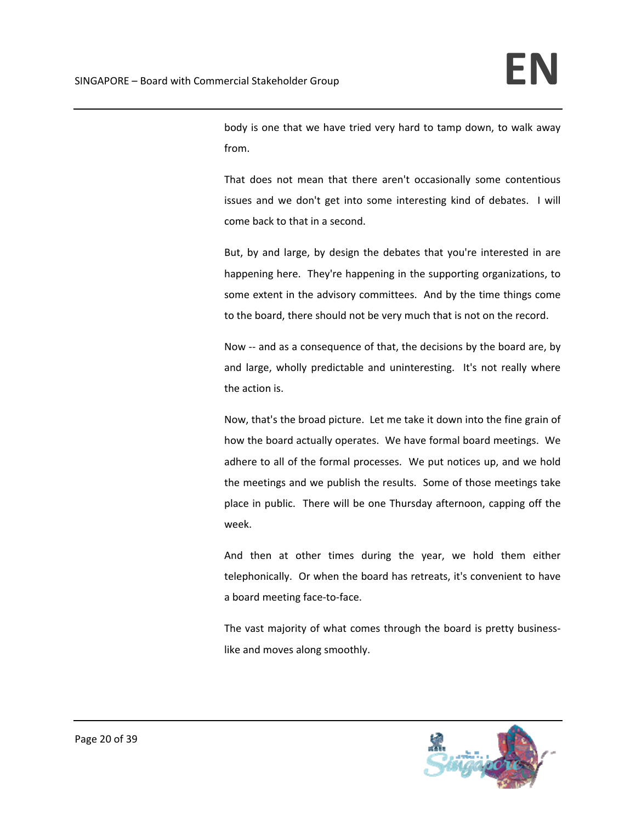body is one that we have tried very hard to tamp down, to walk away from.

That does not mean that there aren't occasionally some contentious issues and we don't get into some interesting kind of debates. I will come back to that in a second.

But, by and large, by design the debates that you're interested in are happening here. They're happening in the supporting organizations, to some extent in the advisory committees. And by the time things come to the board, there should not be very much that is not on the record.

Now -- and as a consequence of that, the decisions by the board are, by and large, wholly predictable and uninteresting. It's not really where the action is.

Now, that's the broad picture. Let me take it down into the fine grain of how the board actually operates. We have formal board meetings. We adhere to all of the formal processes. We put notices up, and we hold the meetings and we publish the results. Some of those meetings take place in public. There will be one Thursday afternoon, capping off the week.

And then at other times during the year, we hold them either telephonically. Or when the board has retreats, it's convenient to have a board meeting face‐to‐face.

The vast majority of what comes through the board is pretty business‐ like and moves along smoothly.

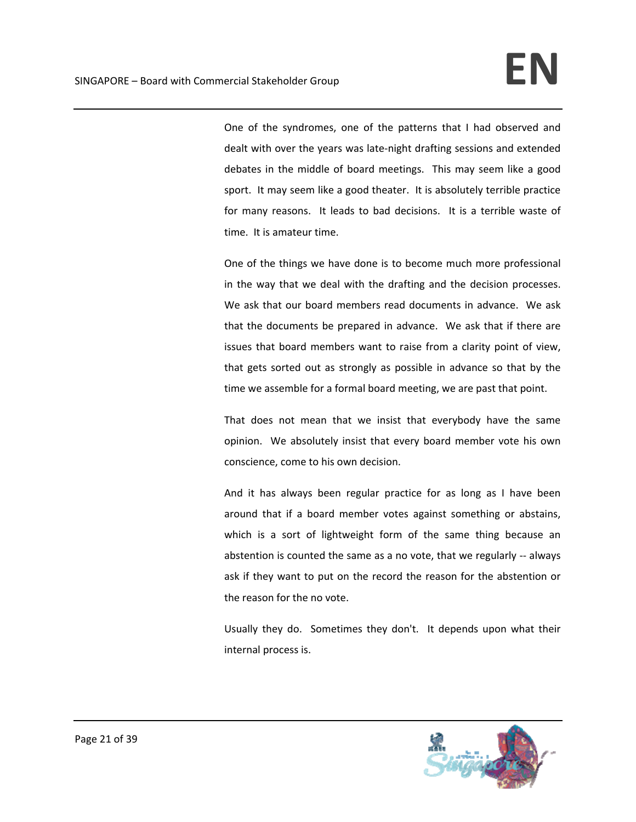One of the syndromes, one of the patterns that I had observed and dealt with over the years was late‐night drafting sessions and extended debates in the middle of board meetings. This may seem like a good sport. It may seem like a good theater. It is absolutely terrible practice for many reasons. It leads to bad decisions. It is a terrible waste of time. It is amateur time.

One of the things we have done is to become much more professional in the way that we deal with the drafting and the decision processes. We ask that our board members read documents in advance. We ask that the documents be prepared in advance. We ask that if there are issues that board members want to raise from a clarity point of view, that gets sorted out as strongly as possible in advance so that by the time we assemble for a formal board meeting, we are past that point.

That does not mean that we insist that everybody have the same opinion. We absolutely insist that every board member vote his own conscience, come to his own decision.

And it has always been regular practice for as long as I have been around that if a board member votes against something or abstains, which is a sort of lightweight form of the same thing because an abstention is counted the same as a no vote, that we regularly ‐‐ always ask if they want to put on the record the reason for the abstention or the reason for the no vote.

Usually they do. Sometimes they don't. It depends upon what their internal process is.

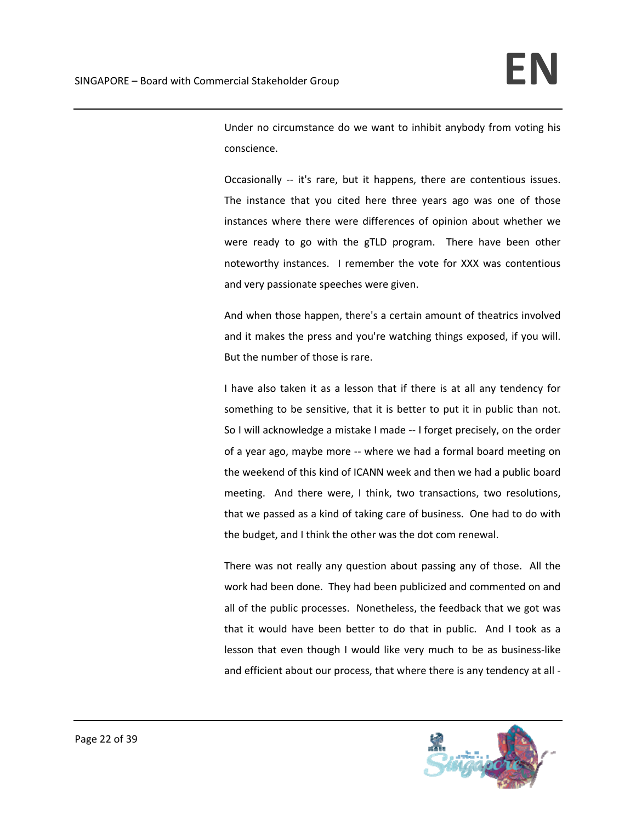Under no circumstance do we want to inhibit anybody from voting his conscience.

Occasionally -- it's rare, but it happens, there are contentious issues. The instance that you cited here three years ago was one of those instances where there were differences of opinion about whether we were ready to go with the gTLD program. There have been other noteworthy instances. I remember the vote for XXX was contentious and very passionate speeches were given.

And when those happen, there's a certain amount of theatrics involved and it makes the press and you're watching things exposed, if you will. But the number of those is rare.

I have also taken it as a lesson that if there is at all any tendency for something to be sensitive, that it is better to put it in public than not. So I will acknowledge a mistake I made ‐‐ I forget precisely, on the order of a year ago, maybe more ‐‐ where we had a formal board meeting on the weekend of this kind of ICANN week and then we had a public board meeting. And there were, I think, two transactions, two resolutions, that we passed as a kind of taking care of business. One had to do with the budget, and I think the other was the dot com renewal.

There was not really any question about passing any of those. All the work had been done. They had been publicized and commented on and all of the public processes. Nonetheless, the feedback that we got was that it would have been better to do that in public. And I took as a lesson that even though I would like very much to be as business‐like and efficient about our process, that where there is any tendency at all ‐

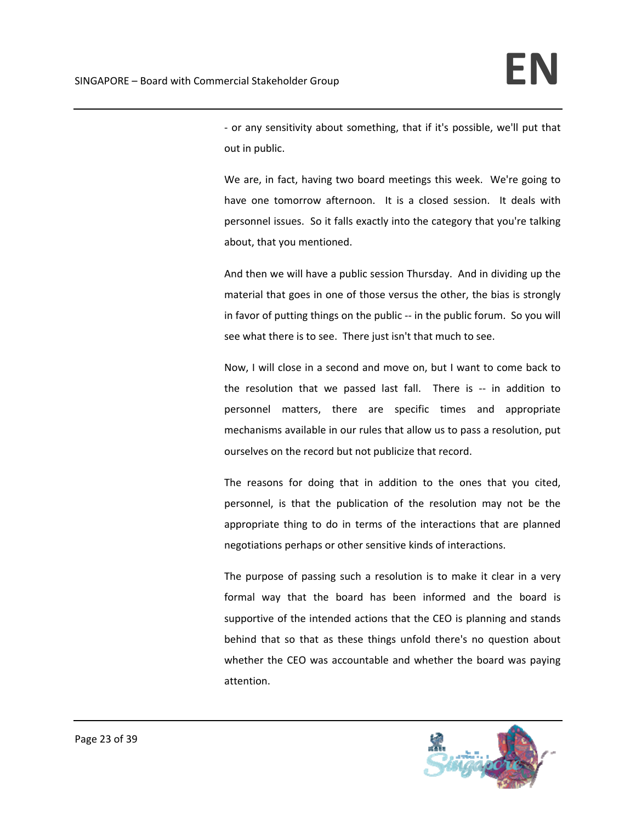‐ or any sensitivity about something, that if it's possible, we'll put that out in public.

We are, in fact, having two board meetings this week. We're going to have one tomorrow afternoon. It is a closed session. It deals with personnel issues. So it falls exactly into the category that you're talking about, that you mentioned.

And then we will have a public session Thursday. And in dividing up the material that goes in one of those versus the other, the bias is strongly in favor of putting things on the public -- in the public forum. So you will see what there is to see. There just isn't that much to see.

Now, I will close in a second and move on, but I want to come back to the resolution that we passed last fall. There is -- in addition to personnel matters, there are specific times and appropriate mechanisms available in our rules that allow us to pass a resolution, put ourselves on the record but not publicize that record.

The reasons for doing that in addition to the ones that you cited, personnel, is that the publication of the resolution may not be the appropriate thing to do in terms of the interactions that are planned negotiations perhaps or other sensitive kinds of interactions.

The purpose of passing such a resolution is to make it clear in a very formal way that the board has been informed and the board is supportive of the intended actions that the CEO is planning and stands behind that so that as these things unfold there's no question about whether the CEO was accountable and whether the board was paying attention.

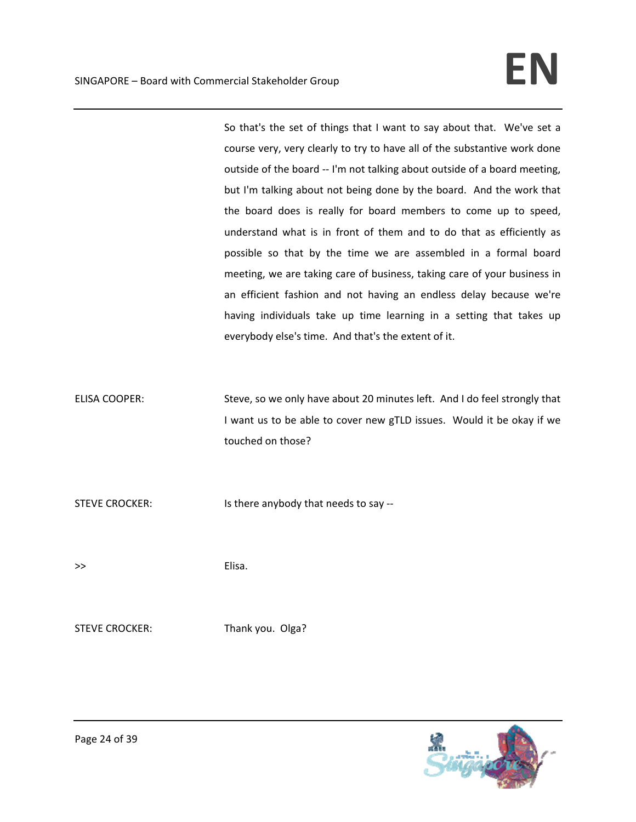So that's the set of things that I want to say about that. We've set a course very, very clearly to try to have all of the substantive work done outside of the board ‐‐ I'm not talking about outside of a board meeting, but I'm talking about not being done by the board. And the work that the board does is really for board members to come up to speed, understand what is in front of them and to do that as efficiently as possible so that by the time we are assembled in a formal board meeting, we are taking care of business, taking care of your business in an efficient fashion and not having an endless delay because we're having individuals take up time learning in a setting that takes up everybody else's time. And that's the extent of it.

ELISA COOPER: Steve, so we only have about 20 minutes left. And I do feel strongly that I want us to be able to cover new gTLD issues. Would it be okay if we touched on those?

STEVE CROCKER: Is there anybody that needs to say --

>> Elisa.

STEVE CROCKER: Thank you. Olga?

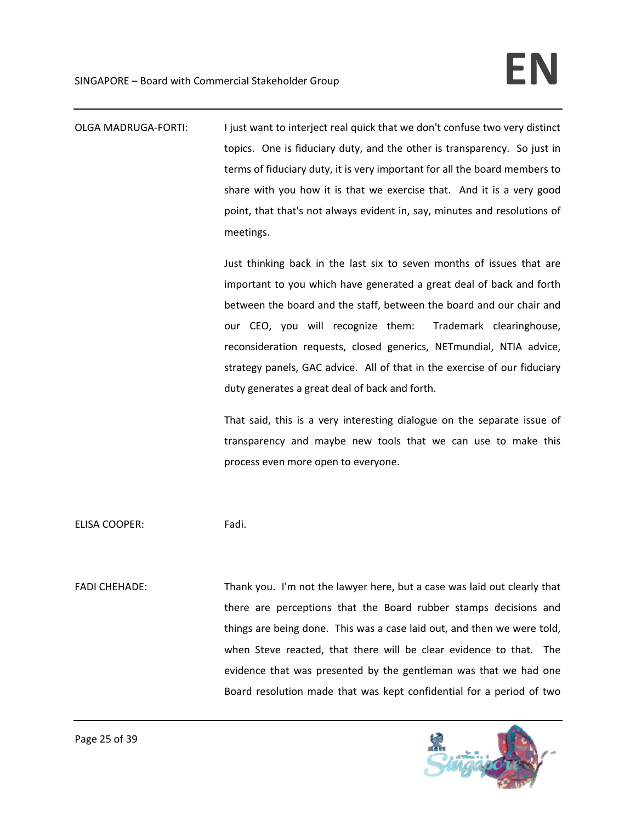OLGA MADRUGA‐FORTI: I just want to interject real quick that we don't confuse two very distinct topics. One is fiduciary duty, and the other is transparency. So just in terms of fiduciary duty, it is very important for all the board members to share with you how it is that we exercise that. And it is a very good point, that that's not always evident in, say, minutes and resolutions of meetings.

> Just thinking back in the last six to seven months of issues that are important to you which have generated a great deal of back and forth between the board and the staff, between the board and our chair and our CEO, you will recognize them: Trademark clearinghouse, reconsideration requests, closed generics, NETmundial, NTIA advice, strategy panels, GAC advice. All of that in the exercise of our fiduciary duty generates a great deal of back and forth.

> That said, this is a very interesting dialogue on the separate issue of transparency and maybe new tools that we can use to make this process even more open to everyone.

ELISA COOPER: Fadi.

FADI CHEHADE: Thank you. I'm not the lawyer here, but a case was laid out clearly that there are perceptions that the Board rubber stamps decisions and things are being done. This was a case laid out, and then we were told, when Steve reacted, that there will be clear evidence to that. The evidence that was presented by the gentleman was that we had one Board resolution made that was kept confidential for a period of two

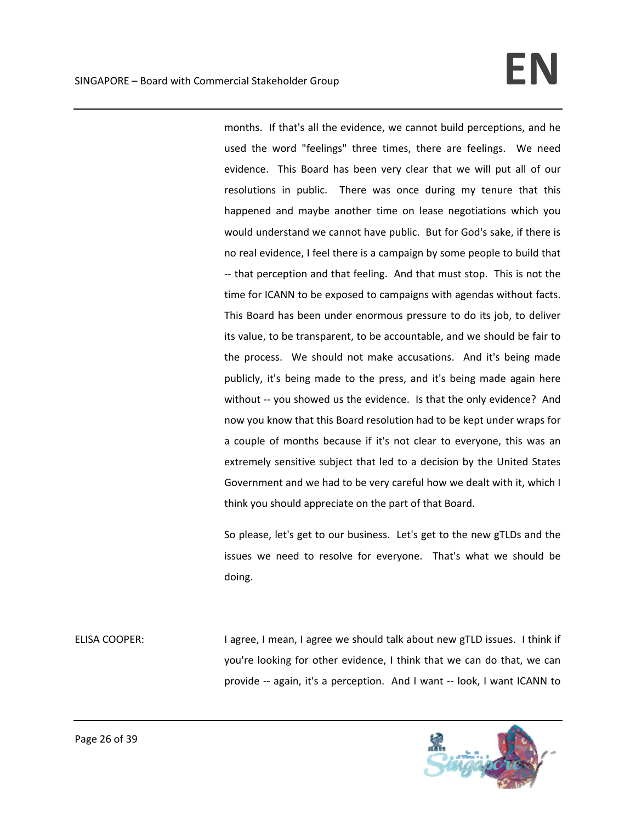months. If that's all the evidence, we cannot build perceptions, and he used the word "feelings" three times, there are feelings. We need evidence. This Board has been very clear that we will put all of our resolutions in public. There was once during my tenure that this happened and maybe another time on lease negotiations which you would understand we cannot have public. But for God's sake, if there is no real evidence, I feel there is a campaign by some people to build that ‐‐ that perception and that feeling. And that must stop. This is not the time for ICANN to be exposed to campaigns with agendas without facts. This Board has been under enormous pressure to do its job, to deliver its value, to be transparent, to be accountable, and we should be fair to the process. We should not make accusations. And it's being made publicly, it's being made to the press, and it's being made again here without -- you showed us the evidence. Is that the only evidence? And now you know that this Board resolution had to be kept under wraps for a couple of months because if it's not clear to everyone, this was an extremely sensitive subject that led to a decision by the United States Government and we had to be very careful how we dealt with it, which I think you should appreciate on the part of that Board.

So please, let's get to our business. Let's get to the new gTLDs and the issues we need to resolve for everyone. That's what we should be doing.

ELISA COOPER: I agree, I mean, I agree we should talk about new gTLD issues. I think if you're looking for other evidence, I think that we can do that, we can provide ‐‐ again, it's a perception. And I want ‐‐ look, I want ICANN to

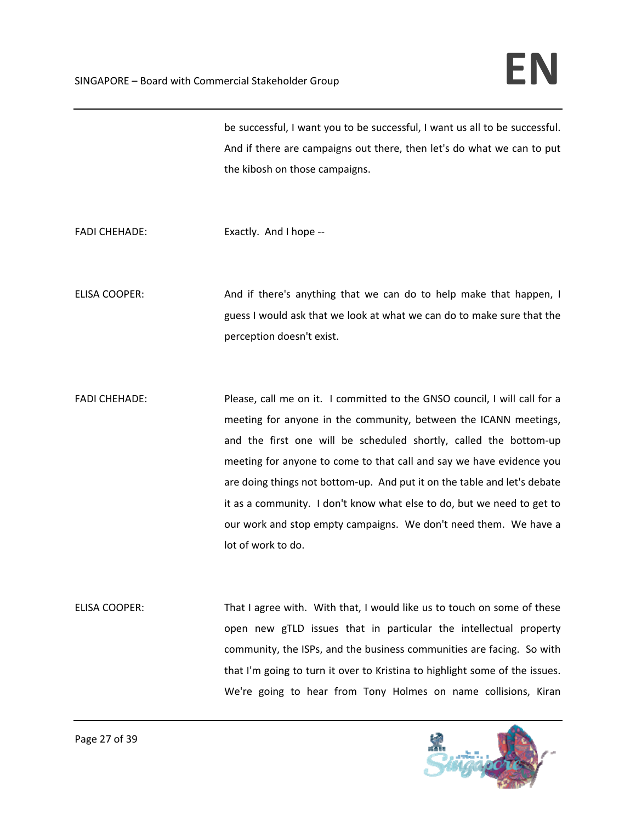be successful, I want you to be successful, I want us all to be successful. And if there are campaigns out there, then let's do what we can to put the kibosh on those campaigns.

FADI CHEHADE: Exactly. And I hope --

ELISA COOPER: And if there's anything that we can do to help make that happen, I guess I would ask that we look at what we can do to make sure that the perception doesn't exist.

FADI CHEHADE: Please, call me on it. I committed to the GNSO council, I will call for a meeting for anyone in the community, between the ICANN meetings, and the first one will be scheduled shortly, called the bottom‐up meeting for anyone to come to that call and say we have evidence you are doing things not bottom‐up. And put it on the table and let's debate it as a community. I don't know what else to do, but we need to get to our work and stop empty campaigns. We don't need them. We have a lot of work to do.

ELISA COOPER: That I agree with. With that, I would like us to touch on some of these open new gTLD issues that in particular the intellectual property community, the ISPs, and the business communities are facing. So with that I'm going to turn it over to Kristina to highlight some of the issues. We're going to hear from Tony Holmes on name collisions, Kiran

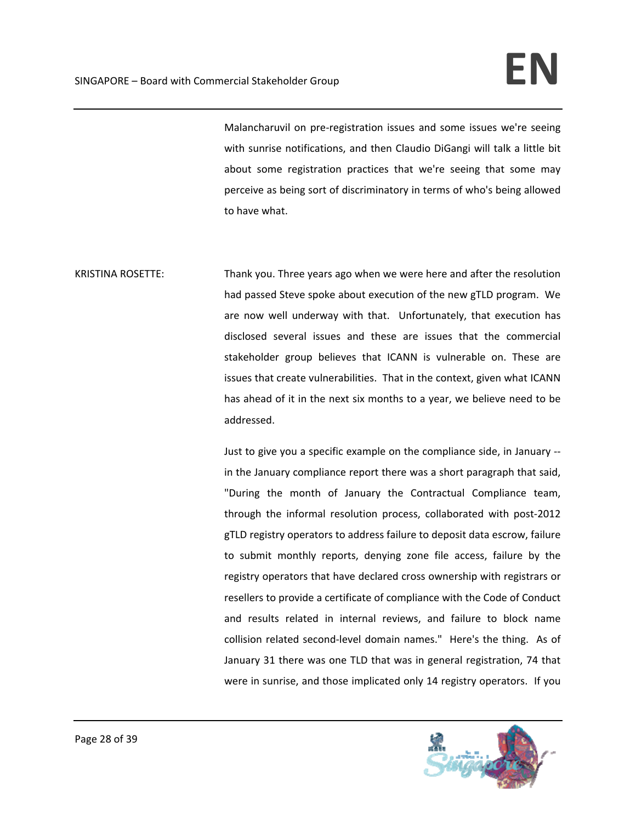Malancharuvil on pre‐registration issues and some issues we're seeing with sunrise notifications, and then Claudio DiGangi will talk a little bit about some registration practices that we're seeing that some may perceive as being sort of discriminatory in terms of who's being allowed to have what.

KRISTINA ROSETTE: Thank you. Three years ago when we were here and after the resolution had passed Steve spoke about execution of the new gTLD program. We are now well underway with that. Unfortunately, that execution has disclosed several issues and these are issues that the commercial stakeholder group believes that ICANN is vulnerable on. These are issues that create vulnerabilities. That in the context, given what ICANN has ahead of it in the next six months to a year, we believe need to be addressed.

> Just to give you a specific example on the compliance side, in January ‐‐ in the January compliance report there was a short paragraph that said, "During the month of January the Contractual Compliance team, through the informal resolution process, collaborated with post‐2012 gTLD registry operators to address failure to deposit data escrow, failure to submit monthly reports, denying zone file access, failure by the registry operators that have declared cross ownership with registrars or resellers to provide a certificate of compliance with the Code of Conduct and results related in internal reviews, and failure to block name collision related second-level domain names." Here's the thing. As of January 31 there was one TLD that was in general registration, 74 that were in sunrise, and those implicated only 14 registry operators. If you

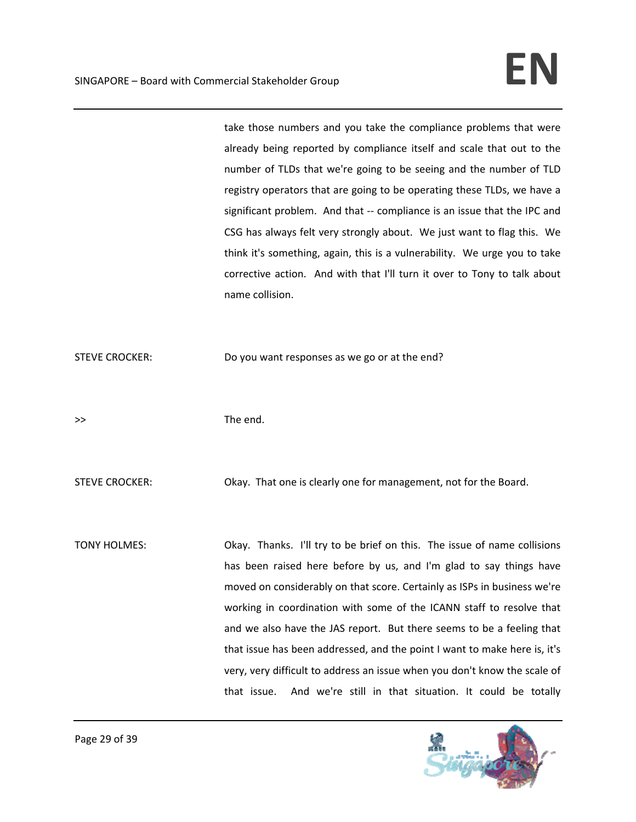take those numbers and you take the compliance problems that were already being reported by compliance itself and scale that out to the number of TLDs that we're going to be seeing and the number of TLD registry operators that are going to be operating these TLDs, we have a significant problem. And that -- compliance is an issue that the IPC and CSG has always felt very strongly about. We just want to flag this. We think it's something, again, this is a vulnerability. We urge you to take corrective action. And with that I'll turn it over to Tony to talk about name collision.

STEVE CROCKER: Do you want responses as we go or at the end?

>> The end.

STEVE CROCKER: Okay. That one is clearly one for management, not for the Board.

TONY HOLMES: Okay. Thanks. I'll try to be brief on this. The issue of name collisions has been raised here before by us, and I'm glad to say things have moved on considerably on that score. Certainly as ISPs in business we're working in coordination with some of the ICANN staff to resolve that and we also have the JAS report. But there seems to be a feeling that that issue has been addressed, and the point I want to make here is, it's very, very difficult to address an issue when you don't know the scale of that issue. And we're still in that situation. It could be totally

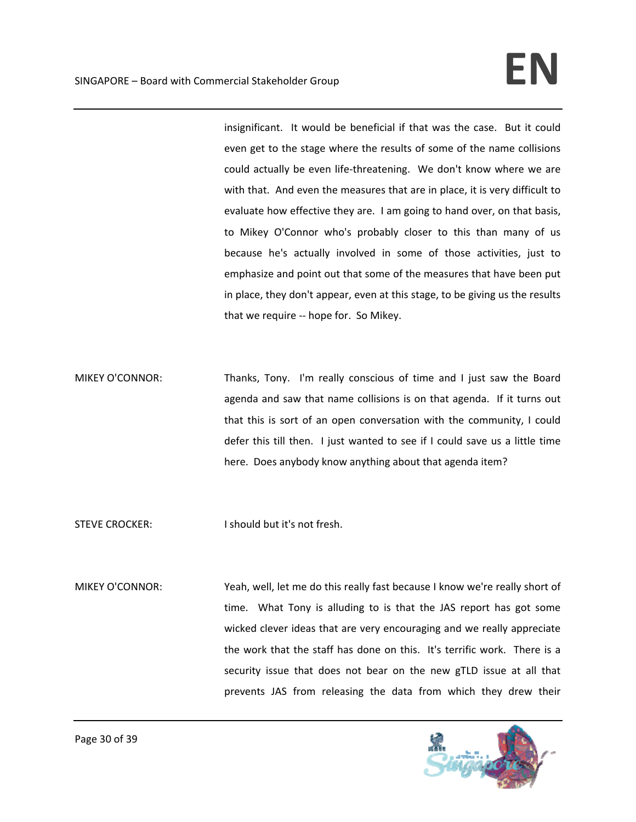insignificant. It would be beneficial if that was the case. But it could even get to the stage where the results of some of the name collisions could actually be even life‐threatening. We don't know where we are with that. And even the measures that are in place, it is very difficult to evaluate how effective they are. I am going to hand over, on that basis, to Mikey O'Connor who's probably closer to this than many of us because he's actually involved in some of those activities, just to emphasize and point out that some of the measures that have been put in place, they don't appear, even at this stage, to be giving us the results that we require ‐‐ hope for. So Mikey.

MIKEY O'CONNOR: Thanks, Tony. I'm really conscious of time and I just saw the Board agenda and saw that name collisions is on that agenda. If it turns out that this is sort of an open conversation with the community, I could defer this till then. I just wanted to see if I could save us a little time here. Does anybody know anything about that agenda item?

STEVE CROCKER: I should but it's not fresh.

MIKEY O'CONNOR: Yeah, well, let me do this really fast because I know we're really short of time. What Tony is alluding to is that the JAS report has got some wicked clever ideas that are very encouraging and we really appreciate the work that the staff has done on this. It's terrific work. There is a security issue that does not bear on the new gTLD issue at all that prevents JAS from releasing the data from which they drew their

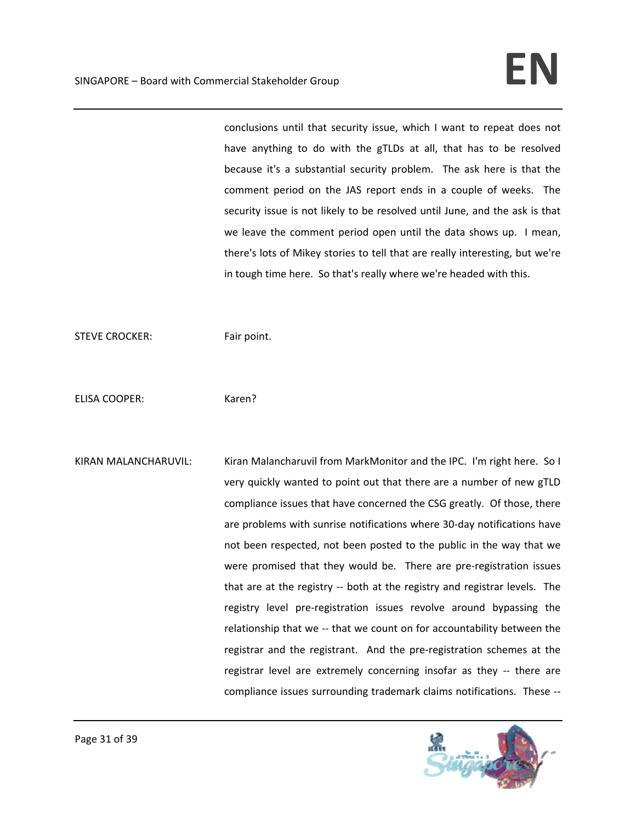conclusions until that security issue, which I want to repeat does not have anything to do with the gTLDs at all, that has to be resolved because it's a substantial security problem. The ask here is that the comment period on the JAS report ends in a couple of weeks. The security issue is not likely to be resolved until June, and the ask is that we leave the comment period open until the data shows up. I mean, there's lots of Mikey stories to tell that are really interesting, but we're in tough time here. So that's really where we're headed with this.

STEVE CROCKER: Fair point.

ELISA COOPER: Karen?

KIRAN MALANCHARUVIL: Kiran Malancharuvil from MarkMonitor and the IPC. I'm right here. So I very quickly wanted to point out that there are a number of new gTLD compliance issues that have concerned the CSG greatly. Of those, there are problems with sunrise notifications where 30‐day notifications have not been respected, not been posted to the public in the way that we were promised that they would be. There are pre-registration issues that are at the registry -- both at the registry and registrar levels. The registry level pre‐registration issues revolve around bypassing the relationship that we -- that we count on for accountability between the registrar and the registrant. And the pre-registration schemes at the registrar level are extremely concerning insofar as they -- there are compliance issues surrounding trademark claims notifications. These ‐‐

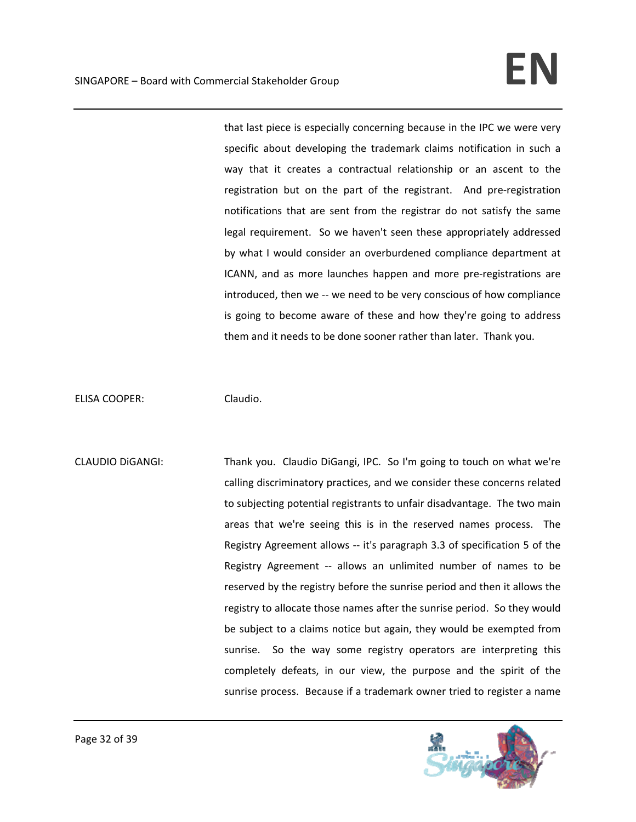that last piece is especially concerning because in the IPC we were very specific about developing the trademark claims notification in such a way that it creates a contractual relationship or an ascent to the registration but on the part of the registrant. And pre-registration notifications that are sent from the registrar do not satisfy the same legal requirement. So we haven't seen these appropriately addressed by what I would consider an overburdened compliance department at ICANN, and as more launches happen and more pre‐registrations are introduced, then we -- we need to be very conscious of how compliance is going to become aware of these and how they're going to address them and it needs to be done sooner rather than later. Thank you.

ELISA COOPER: Claudio.

CLAUDIO DiGANGI: Thank you. Claudio DiGangi, IPC. So I'm going to touch on what we're calling discriminatory practices, and we consider these concerns related to subjecting potential registrants to unfair disadvantage. The two main areas that we're seeing this is in the reserved names process. The Registry Agreement allows ‐‐ it's paragraph 3.3 of specification 5 of the Registry Agreement -- allows an unlimited number of names to be reserved by the registry before the sunrise period and then it allows the registry to allocate those names after the sunrise period. So they would be subject to a claims notice but again, they would be exempted from sunrise. So the way some registry operators are interpreting this completely defeats, in our view, the purpose and the spirit of the sunrise process. Because if a trademark owner tried to register a name

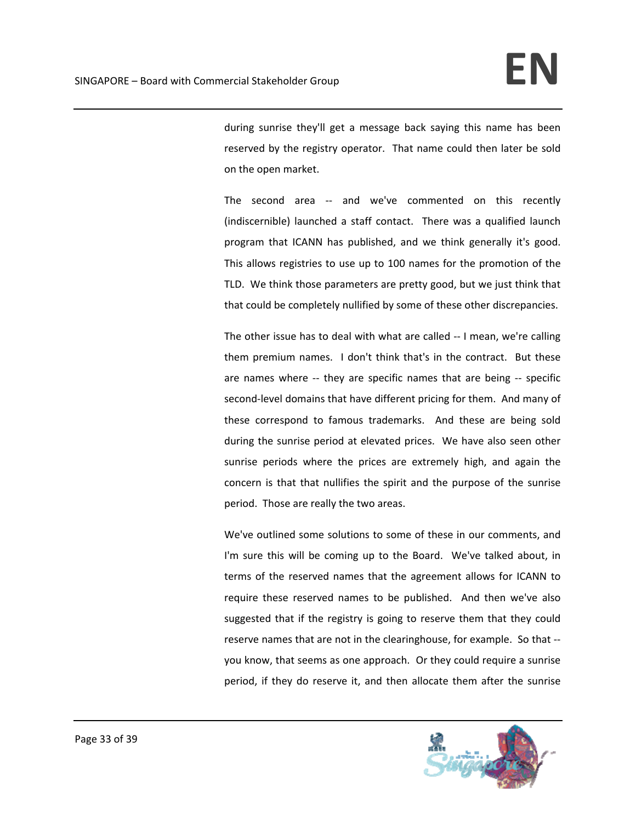during sunrise they'll get a message back saying this name has been reserved by the registry operator. That name could then later be sold on the open market.

The second area -- and we've commented on this recently (indiscernible) launched a staff contact. There was a qualified launch program that ICANN has published, and we think generally it's good. This allows registries to use up to 100 names for the promotion of the TLD. We think those parameters are pretty good, but we just think that that could be completely nullified by some of these other discrepancies.

The other issue has to deal with what are called ‐‐ I mean, we're calling them premium names. I don't think that's in the contract. But these are names where -- they are specific names that are being -- specific second-level domains that have different pricing for them. And many of these correspond to famous trademarks. And these are being sold during the sunrise period at elevated prices. We have also seen other sunrise periods where the prices are extremely high, and again the concern is that that nullifies the spirit and the purpose of the sunrise period. Those are really the two areas.

We've outlined some solutions to some of these in our comments, and I'm sure this will be coming up to the Board. We've talked about, in terms of the reserved names that the agreement allows for ICANN to require these reserved names to be published. And then we've also suggested that if the registry is going to reserve them that they could reserve names that are not in the clearinghouse, for example. So that ‐‐ you know, that seems as one approach. Or they could require a sunrise period, if they do reserve it, and then allocate them after the sunrise

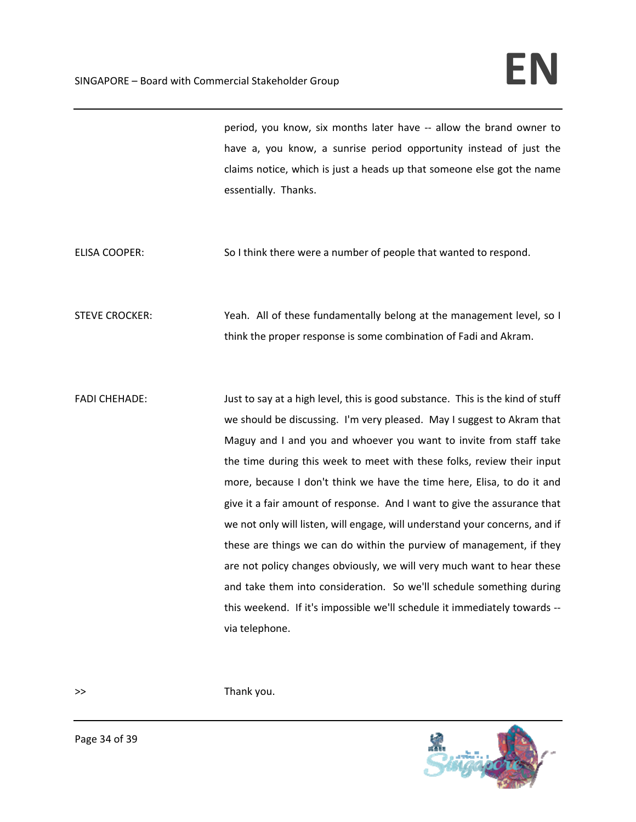period, you know, six months later have ‐‐ allow the brand owner to have a, you know, a sunrise period opportunity instead of just the claims notice, which is just a heads up that someone else got the name essentially. Thanks.

ELISA COOPER: So I think there were a number of people that wanted to respond.

STEVE CROCKER: Yeah. All of these fundamentally belong at the management level, so I think the proper response is some combination of Fadi and Akram.

FADI CHEHADE: Just to say at a high level, this is good substance. This is the kind of stuff we should be discussing. I'm very pleased. May I suggest to Akram that Maguy and I and you and whoever you want to invite from staff take the time during this week to meet with these folks, review their input more, because I don't think we have the time here, Elisa, to do it and give it a fair amount of response. And I want to give the assurance that we not only will listen, will engage, will understand your concerns, and if these are things we can do within the purview of management, if they are not policy changes obviously, we will very much want to hear these and take them into consideration. So we'll schedule something during this weekend. If it's impossible we'll schedule it immediately towards ‐‐ via telephone.

>> Thank you.

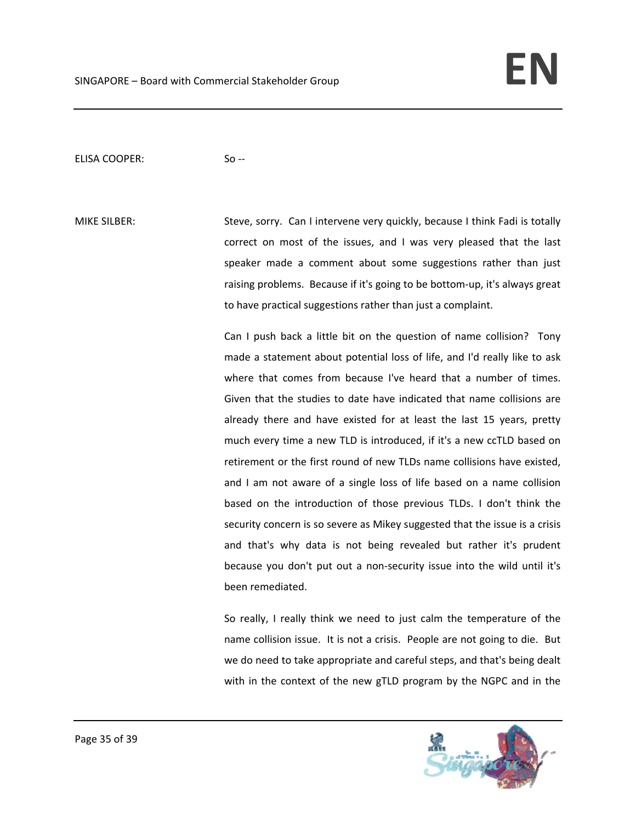## ELISA COOPER: So --

MIKE SILBER: Steve, sorry. Can I intervene very quickly, because I think Fadi is totally correct on most of the issues, and I was very pleased that the last speaker made a comment about some suggestions rather than just raising problems. Because if it's going to be bottom-up, it's always great to have practical suggestions rather than just a complaint.

> Can I push back a little bit on the question of name collision? Tony made a statement about potential loss of life, and I'd really like to ask where that comes from because I've heard that a number of times. Given that the studies to date have indicated that name collisions are already there and have existed for at least the last 15 years, pretty much every time a new TLD is introduced, if it's a new ccTLD based on retirement or the first round of new TLDs name collisions have existed, and I am not aware of a single loss of life based on a name collision based on the introduction of those previous TLDs. I don't think the security concern is so severe as Mikey suggested that the issue is a crisis and that's why data is not being revealed but rather it's prudent because you don't put out a non‐security issue into the wild until it's been remediated.

> So really, I really think we need to just calm the temperature of the name collision issue. It is not a crisis. People are not going to die. But we do need to take appropriate and careful steps, and that's being dealt with in the context of the new gTLD program by the NGPC and in the

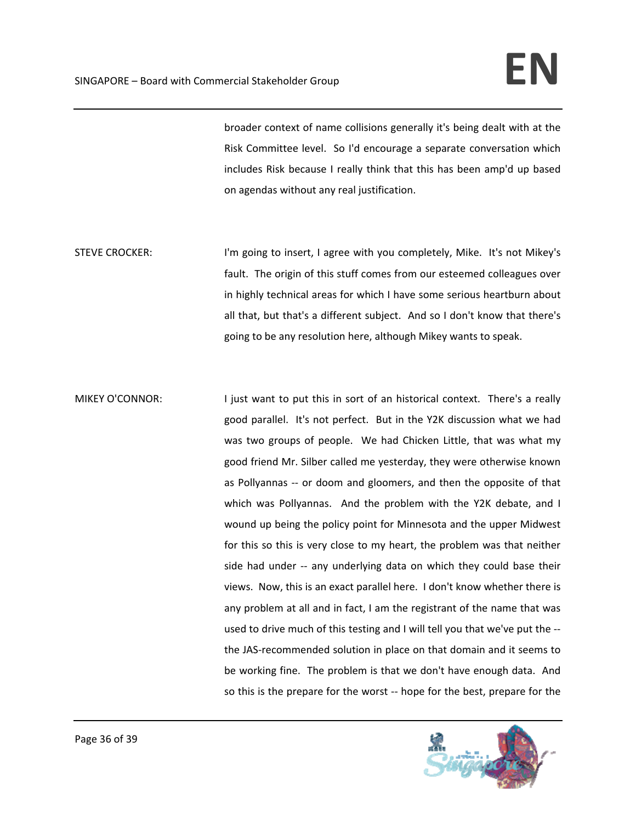broader context of name collisions generally it's being dealt with at the Risk Committee level. So I'd encourage a separate conversation which includes Risk because I really think that this has been amp'd up based on agendas without any real justification.

- STEVE CROCKER: I'm going to insert, I agree with you completely, Mike. It's not Mikey's fault. The origin of this stuff comes from our esteemed colleagues over in highly technical areas for which I have some serious heartburn about all that, but that's a different subject. And so I don't know that there's going to be any resolution here, although Mikey wants to speak.
- MIKEY O'CONNOR: I just want to put this in sort of an historical context. There's a really good parallel. It's not perfect. But in the Y2K discussion what we had was two groups of people. We had Chicken Little, that was what my good friend Mr. Silber called me yesterday, they were otherwise known as Pollyannas -- or doom and gloomers, and then the opposite of that which was Pollyannas. And the problem with the Y2K debate, and I wound up being the policy point for Minnesota and the upper Midwest for this so this is very close to my heart, the problem was that neither side had under -- any underlying data on which they could base their views. Now, this is an exact parallel here. I don't know whether there is any problem at all and in fact, I am the registrant of the name that was used to drive much of this testing and I will tell you that we've put the ‐‐ the JAS‐recommended solution in place on that domain and it seems to be working fine. The problem is that we don't have enough data. And so this is the prepare for the worst ‐‐ hope for the best, prepare for the

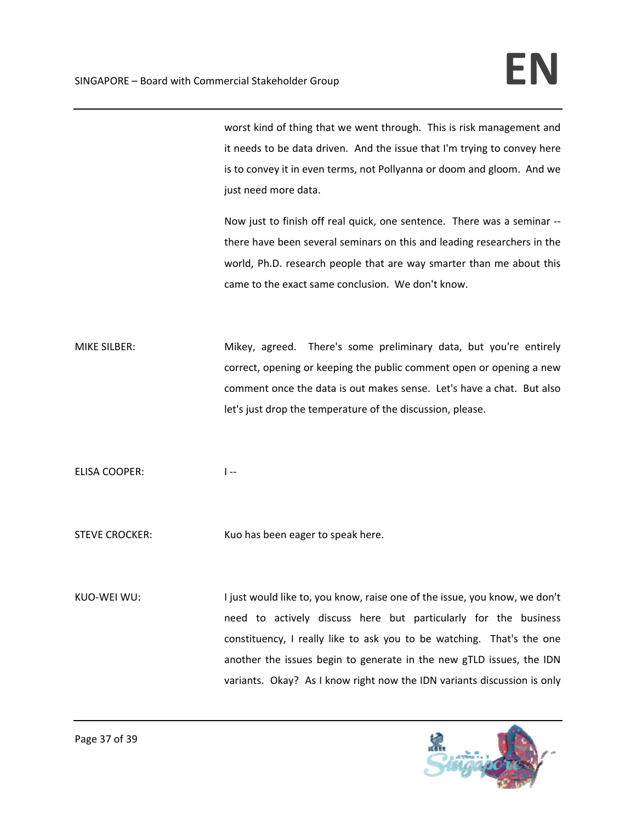worst kind of thing that we went through. This is risk management and it needs to be data driven. And the issue that I'm trying to convey here is to convey it in even terms, not Pollyanna or doom and gloom. And we just need more data.

Now just to finish off real quick, one sentence. There was a seminar ‐‐ there have been several seminars on this and leading researchers in the world, Ph.D. research people that are way smarter than me about this came to the exact same conclusion. We don't know.

MIKE SILBER: Mikey, agreed. There's some preliminary data, but you're entirely correct, opening or keeping the public comment open or opening a new comment once the data is out makes sense. Let's have a chat. But also let's just drop the temperature of the discussion, please.

ELISA COOPER: 
I --

STEVE CROCKER: Kuo has been eager to speak here.

KUO-WEI WU: I just would like to, you know, raise one of the issue, you know, we don't need to actively discuss here but particularly for the business constituency, I really like to ask you to be watching. That's the one another the issues begin to generate in the new gTLD issues, the IDN variants. Okay? As I know right now the IDN variants discussion is only

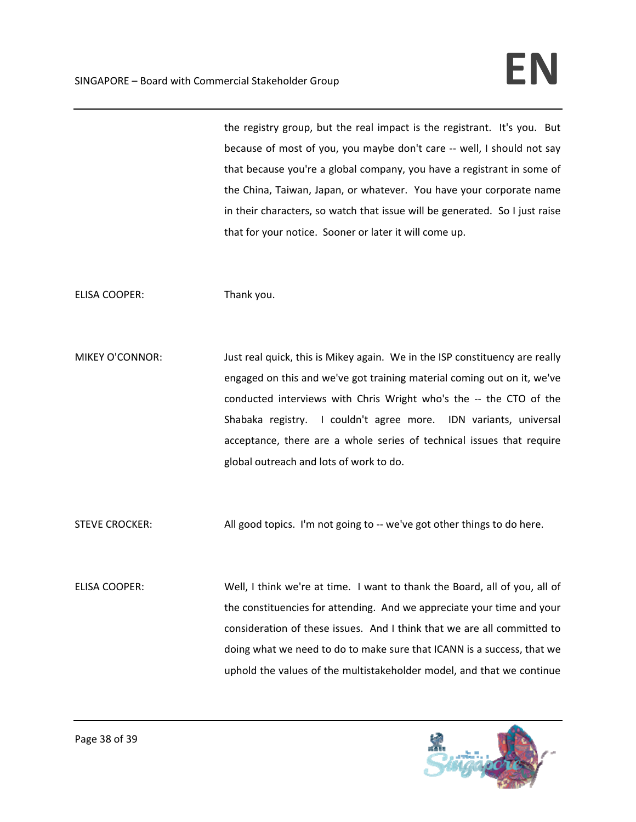the registry group, but the real impact is the registrant. It's you. But because of most of you, you maybe don't care ‐‐ well, I should not say that because you're a global company, you have a registrant in some of the China, Taiwan, Japan, or whatever. You have your corporate name in their characters, so watch that issue will be generated. So I just raise that for your notice. Sooner or later it will come up.

ELISA COOPER: Thank you.

MIKEY O'CONNOR: Just real quick, this is Mikey again. We in the ISP constituency are really engaged on this and we've got training material coming out on it, we've conducted interviews with Chris Wright who's the ‐‐ the CTO of the Shabaka registry. I couldn't agree more. IDN variants, universal acceptance, there are a whole series of technical issues that require global outreach and lots of work to do.

STEVE CROCKER: **All good topics.** I'm not going to -- we've got other things to do here.

ELISA COOPER: Well, I think we're at time. I want to thank the Board, all of you, all of the constituencies for attending. And we appreciate your time and your consideration of these issues. And I think that we are all committed to doing what we need to do to make sure that ICANN is a success, that we uphold the values of the multistakeholder model, and that we continue